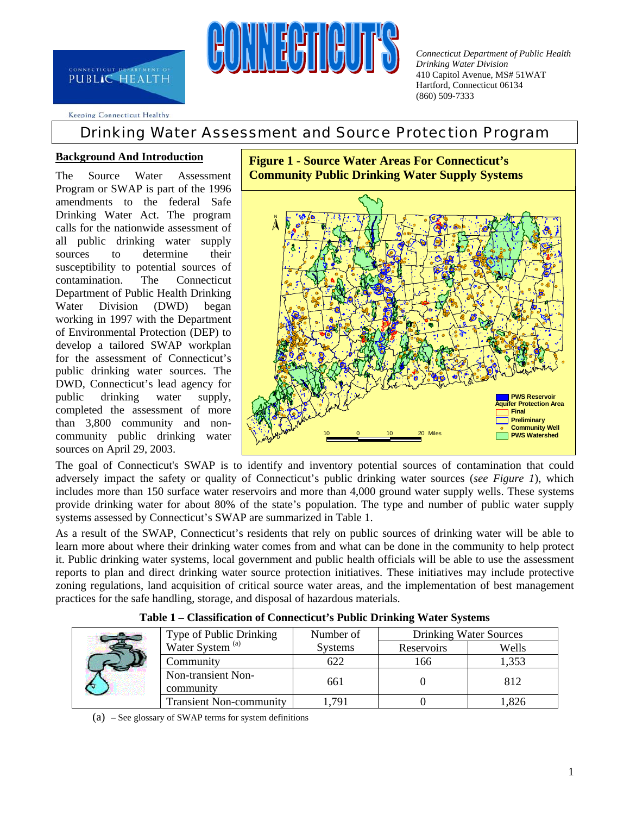

*Connecticut Department of Public Health Drinking Water Division*  410 Capitol Avenue, MS# 51WAT Hartford, Connecticut 06134 (860) 509-7333

Keeping Connecticut Healthy

# Drinking Water Assessment and Source Protection Program

#### **Background And Introduction**

The Source Water Assessment Program or SWAP is part of the 1996 amendments to the federal Safe Drinking Water Act. The program calls for the nationwide assessment of all public drinking water supply sources to determine their susceptibility to potential sources of contamination. The Connecticut Department of Public Health Drinking Water Division (DWD) began working in 1997 with the Department of Environmental Protection (DEP) to develop a tailored SWAP workplan for the assessment of Connecticut's public drinking water sources. The DWD, Connecticut's lead agency for public drinking water supply, completed the assessment of more than 3,800 community and noncommunity public drinking water sources on April 29, 2003.



**Figure 1 - Source Water Areas For Connecticut's** 

The goal of Connecticut's SWAP is to identify and inventory potential sources of contamination that could adversely impact the safety or quality of Connecticut's public drinking water sources (*see Figure 1*), which includes more than 150 surface water reservoirs and more than 4,000 ground water supply wells. These systems provide drinking water for about 80% of the state's population. The type and number of public water supply systems assessed by Connecticut's SWAP are summarized in Table 1.

As a result of the SWAP, Connecticut's residents that rely on public sources of drinking water will be able to learn more about where their drinking water comes from and what can be done in the community to help protect it. Public drinking water systems, local government and public health officials will be able to use the assessment reports to plan and direct drinking water source protection initiatives. These initiatives may include protective zoning regulations, land acquisition of critical source water areas, and the implementation of best management practices for the safe handling, storage, and disposal of hazardous materials.

|  | Type of Public Drinking         |                | <b>Drinking Water Sources</b> |       |  |
|--|---------------------------------|----------------|-------------------------------|-------|--|
|  | Water System <sup>(a)</sup>     | <b>Systems</b> | Reservoirs                    | Wells |  |
|  | Community                       | 622            | 166                           | 1,353 |  |
|  | Non-transient Non-<br>community | 661            |                               | 812   |  |
|  | <b>Transient Non-community</b>  | 791            |                               | .826  |  |

**Table 1 – Classification of Connecticut's Public Drinking Water Systems** 

(a) – See glossary of SWAP terms for system definitions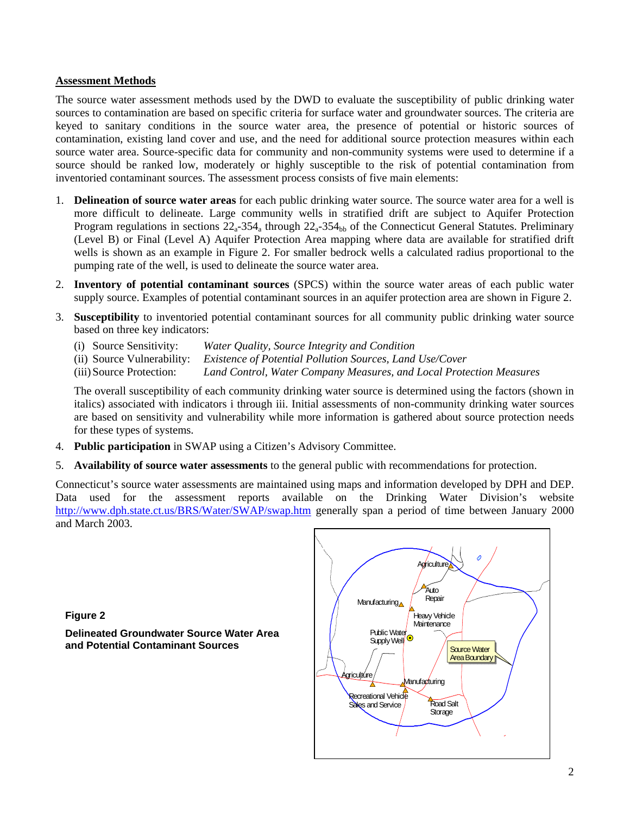#### **Assessment Methods**

The source water assessment methods used by the DWD to evaluate the susceptibility of public drinking water sources to contamination are based on specific criteria for surface water and groundwater sources. The criteria are keyed to sanitary conditions in the source water area, the presence of potential or historic sources of contamination, existing land cover and use, and the need for additional source protection measures within each source water area. Source-specific data for community and non-community systems were used to determine if a source should be ranked low, moderately or highly susceptible to the risk of potential contamination from inventoried contaminant sources. The assessment process consists of five main elements:

- 1. **Delineation of source water areas** for each public drinking water source. The source water area for a well is more difficult to delineate. Large community wells in stratified drift are subject to Aquifer Protection Program regulations in sections  $22_a-354_a$  through  $22_a-354_{bb}$  of the Connecticut General Statutes. Preliminary (Level B) or Final (Level A) Aquifer Protection Area mapping where data are available for stratified drift wells is shown as an example in Figure 2. For smaller bedrock wells a calculated radius proportional to the pumping rate of the well, is used to delineate the source water area.
- 2. **Inventory of potential contaminant sources** (SPCS) within the source water areas of each public water supply source. Examples of potential contaminant sources in an aquifer protection area are shown in Figure 2.
- 3. **Susceptibility** to inventoried potential contaminant sources for all community public drinking water source based on three key indicators:
	- (i) Source Sensitivity: *Water Quality, Source Integrity and Condition*
	- (ii) Source Vulnerability: *Existence of Potential Pollution Sources, Land Use/Cover*
	- (iii) Source Protection: *Land Control, Water Company Measures, and Local Protection Measures*

The overall susceptibility of each community drinking water source is determined using the factors (shown in italics) associated with indicators i through iii. Initial assessments of non-community drinking water sources are based on sensitivity and vulnerability while more information is gathered about source protection needs for these types of systems.

- 4. **Public participation** in SWAP using a Citizen's Advisory Committee.
- 5. **Availability of source water assessments** to the general public with recommendations for protection.

Connecticut's source water assessments are maintained using maps and information developed by DPH and DEP. Data used for the assessment reports available on the Drinking Water Division's website <http://www.dph.state.ct.us/BRS/Water/SWAP/swap.htm> generally span a period of time between January 2000 and March 2003.

**Figure 2** 

**Delineated Groundwater Source Water Area and Potential Contaminant Sources** 

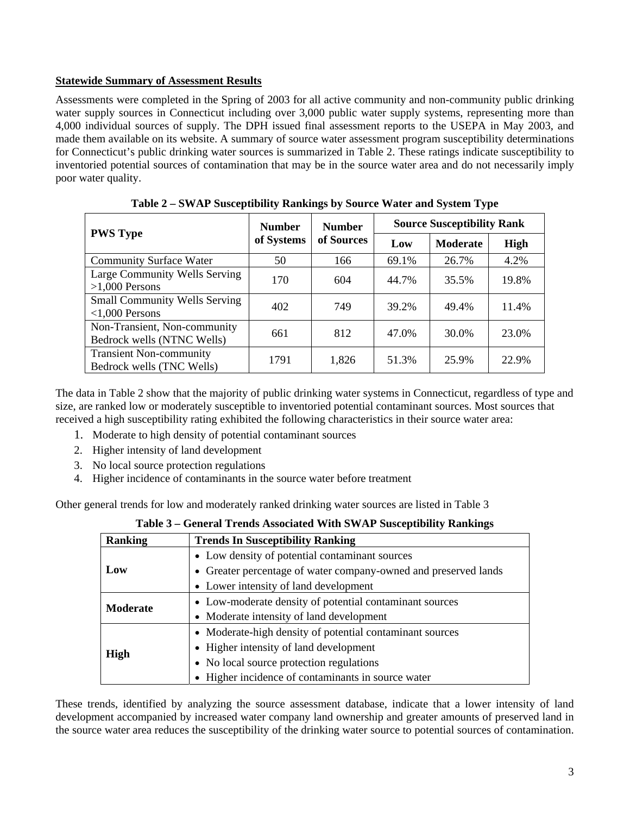#### **Statewide Summary of Assessment Results**

Assessments were completed in the Spring of 2003 for all active community and non-community public drinking water supply sources in Connecticut including over 3,000 public water supply systems, representing more than 4,000 individual sources of supply. The DPH issued final assessment reports to the USEPA in May 2003, and made them available on its website. A summary of source water assessment program susceptibility determinations for Connecticut's public drinking water sources is summarized in Table 2. These ratings indicate susceptibility to inventoried potential sources of contamination that may be in the source water area and do not necessarily imply poor water quality.

| <b>PWS Type</b>                                             | <b>Number</b><br>of Systems | <b>Number</b><br>of Sources | <b>Source Susceptibility Rank</b> |                 |       |
|-------------------------------------------------------------|-----------------------------|-----------------------------|-----------------------------------|-----------------|-------|
|                                                             |                             |                             | Low                               | <b>Moderate</b> | High  |
| <b>Community Surface Water</b>                              | 50                          | 166                         | 69.1%                             | 26.7%           | 4.2%  |
| Large Community Wells Serving<br>$>1,000$ Persons           | 170                         | 604                         | 44.7%                             | 35.5%           | 19.8% |
| <b>Small Community Wells Serving</b><br>$<1,000$ Persons    | 402                         | 749                         | 39.2%                             | 49.4%           | 11.4% |
| Non-Transient, Non-community<br>Bedrock wells (NTNC Wells)  | 661                         | 812                         | 47.0%                             | 30.0%           | 23.0% |
| <b>Transient Non-community</b><br>Bedrock wells (TNC Wells) | 1791                        | 1,826                       | 51.3%                             | 25.9%           | 22.9% |

**Table 2 – SWAP Susceptibility Rankings by Source Water and System Type** 

The data in Table 2 show that the majority of public drinking water systems in Connecticut, regardless of type and size, are ranked low or moderately susceptible to inventoried potential contaminant sources. Most sources that received a high susceptibility rating exhibited the following characteristics in their source water area:

- 1. Moderate to high density of potential contaminant sources
- 2. Higher intensity of land development
- 3. No local source protection regulations
- 4. Higher incidence of contaminants in the source water before treatment

Other general trends for low and moderately ranked drinking water sources are listed in Table 3

| <b>Ranking</b>  | <b>Trends In Susceptibility Ranking</b>                         |  |  |
|-----------------|-----------------------------------------------------------------|--|--|
|                 | • Low density of potential contaminant sources                  |  |  |
| Low             | • Greater percentage of water company-owned and preserved lands |  |  |
|                 | • Lower intensity of land development                           |  |  |
| <b>Moderate</b> | • Low-moderate density of potential contaminant sources         |  |  |
|                 | • Moderate intensity of land development                        |  |  |
|                 | • Moderate-high density of potential contaminant sources        |  |  |
|                 | • Higher intensity of land development                          |  |  |
| <b>High</b>     | • No local source protection regulations                        |  |  |
|                 | • Higher incidence of contaminants in source water              |  |  |

**Table 3 – General Trends Associated With SWAP Susceptibility Rankings** 

These trends, identified by analyzing the source assessment database, indicate that a lower intensity of land development accompanied by increased water company land ownership and greater amounts of preserved land in the source water area reduces the susceptibility of the drinking water source to potential sources of contamination.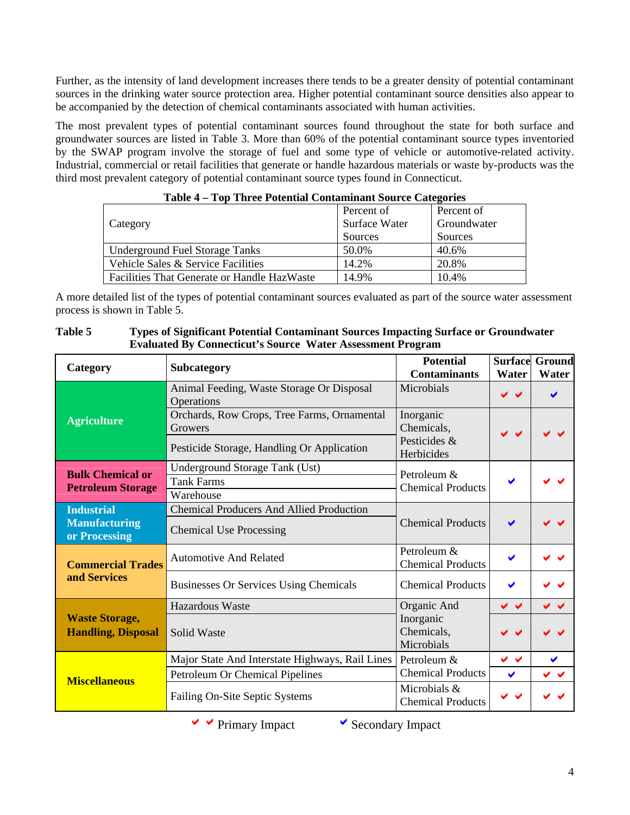Further, as the intensity of land development increases there tends to be a greater density of potential contaminant sources in the drinking water source protection area. Higher potential contaminant source densities also appear to be accompanied by the detection of chemical contaminants associated with human activities.

The most prevalent types of potential contaminant sources found throughout the state for both surface and groundwater sources are listed in Table 3. More than 60% of the potential contaminant source types inventoried by the SWAP program involve the storage of fuel and some type of vehicle or automotive-related activity. Industrial, commercial or retail facilities that generate or handle hazardous materials or waste by-products was the third most prevalent category of potential contaminant source types found in Connecticut.

|                                                    | Percent of           | Percent of  |
|----------------------------------------------------|----------------------|-------------|
| Category                                           | <b>Surface Water</b> | Groundwater |
|                                                    | Sources              | Sources     |
| <b>Underground Fuel Storage Tanks</b>              | 50.0%                | 40.6%       |
| Vehicle Sales & Service Facilities                 | 14.2%                | 20.8%       |
| <b>Facilities That Generate or Handle HazWaste</b> | 14.9%                | 10.4%       |

|  | Table 4 - Top Three Potential Contaminant Source Categories |  |
|--|-------------------------------------------------------------|--|
|  |                                                             |  |

A more detailed list of the types of potential contaminant sources evaluated as part of the source water assessment process is shown in Table 5.

| Category                                                   | <b>Subcategory</b>                                                                | <b>Potential</b><br><b>Contaminants</b>  | <b>Surface</b><br><b>Water</b> | Ground<br>Water           |
|------------------------------------------------------------|-----------------------------------------------------------------------------------|------------------------------------------|--------------------------------|---------------------------|
|                                                            | Animal Feeding, Waste Storage Or Disposal<br>Operations                           | Microbials                               | $\checkmark$                   | ✔                         |
| <b>Agriculture</b>                                         | Orchards, Row Crops, Tree Farms, Ornamental<br>Inorganic<br>Chemicals,<br>Growers |                                          |                                |                           |
|                                                            | Pesticide Storage, Handling Or Application                                        | Pesticides &<br>Herbicides               |                                |                           |
| <b>Bulk Chemical or</b><br><b>Petroleum Storage</b>        | Underground Storage Tank (Ust)<br><b>Tank Farms</b><br>Warehouse                  | Petroleum &<br><b>Chemical Products</b>  | ✔                              |                           |
| <b>Industrial</b><br><b>Manufacturing</b><br>or Processing | <b>Chemical Producers And Allied Production</b><br><b>Chemical Use Processing</b> | <b>Chemical Products</b>                 | $\blacktriangledown$           |                           |
| <b>Commercial Trades</b><br>and Services                   | <b>Automotive And Related</b>                                                     | Petroleum &<br><b>Chemical Products</b>  | ✔                              |                           |
|                                                            | <b>Businesses Or Services Using Chemicals</b>                                     | <b>Chemical Products</b>                 | $\blacktriangledown$           |                           |
|                                                            | <b>Hazardous Waste</b>                                                            | Organic And                              | $\checkmark$                   | $\checkmark$ $\checkmark$ |
| <b>Waste Storage,</b><br><b>Handling, Disposal</b>         | Solid Waste                                                                       | Inorganic<br>Chemicals,<br>Microbials    | $\checkmark$ $\checkmark$      |                           |
|                                                            | Major State And Interstate Highways, Rail Lines                                   | Petroleum &                              | $\checkmark$                   | $\blacktriangledown$      |
| <b>Miscellaneous</b>                                       | Petroleum Or Chemical Pipelines                                                   | <b>Chemical Products</b>                 | $\blacktriangledown$           | $\checkmark$ $\checkmark$ |
|                                                            | Failing On-Site Septic Systems                                                    | Microbials &<br><b>Chemical Products</b> |                                |                           |

**Table 5 Types of Significant Potential Contaminant Sources Impacting Surface or Groundwater Evaluated By Connecticut's Source Water Assessment Program** 

 $\vee$   $\vee$  Primary Impact  $\vee$  Secondary Impact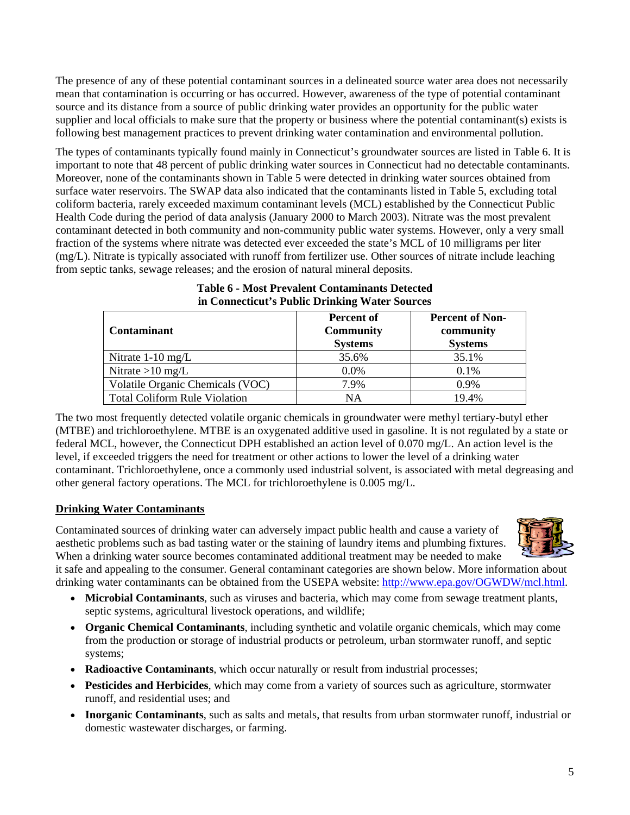The presence of any of these potential contaminant sources in a delineated source water area does not necessarily mean that contamination is occurring or has occurred. However, awareness of the type of potential contaminant source and its distance from a source of public drinking water provides an opportunity for the public water supplier and local officials to make sure that the property or business where the potential contaminant(s) exists is following best management practices to prevent drinking water contamination and environmental pollution.

The types of contaminants typically found mainly in Connecticut's groundwater sources are listed in Table 6. It is important to note that 48 percent of public drinking water sources in Connecticut had no detectable contaminants. Moreover, none of the contaminants shown in Table 5 were detected in drinking water sources obtained from surface water reservoirs. The SWAP data also indicated that the contaminants listed in Table 5, excluding total coliform bacteria, rarely exceeded maximum contaminant levels (MCL) established by the Connecticut Public Health Code during the period of data analysis (January 2000 to March 2003). Nitrate was the most prevalent contaminant detected in both community and non-community public water systems. However, only a very small fraction of the systems where nitrate was detected ever exceeded the state's MCL of 10 milligrams per liter (mg/L). Nitrate is typically associated with runoff from fertilizer use. Other sources of nitrate include leaching from septic tanks, sewage releases; and the erosion of natural mineral deposits.

| <b>Contaminant</b>                   | <b>Percent of</b><br><b>Community</b><br><b>Systems</b> | <b>Percent of Non-</b><br>community<br><b>Systems</b> |
|--------------------------------------|---------------------------------------------------------|-------------------------------------------------------|
| Nitrate $1-10$ mg/L                  | 35.6%                                                   | 35.1%                                                 |
| Nitrate $>10$ mg/L                   | $0.0\%$                                                 | 0.1%                                                  |
| Volatile Organic Chemicals (VOC)     | 7.9%                                                    | $0.9\%$                                               |
| <b>Total Coliform Rule Violation</b> | NA                                                      | 19.4%                                                 |

### **Table 6 - Most Prevalent Contaminants Detected in Connecticut's Public Drinking Water Sources**

The two most frequently detected volatile organic chemicals in groundwater were methyl tertiary-butyl ether (MTBE) and trichloroethylene. MTBE is an oxygenated additive used in gasoline. It is not regulated by a state or federal MCL, however, the Connecticut DPH established an action level of 0.070 mg/L. An action level is the level, if exceeded triggers the need for treatment or other actions to lower the level of a drinking water contaminant. Trichloroethylene, once a commonly used industrial solvent, is associated with metal degreasing and other general factory operations. The MCL for trichloroethylene is 0.005 mg/L.

### **Drinking Water Contaminants**

Contaminated sources of drinking water can adversely impact public health and cause a variety of aesthetic problems such as bad tasting water or the staining of laundry items and plumbing fixtures. When a drinking water source becomes contaminated additional treatment may be needed to make



it safe and appealing to the consumer. General contaminant categories are shown below. More information about drinking water contaminants can be obtained from the USEPA website: <http://www.epa.gov/OGWDW/mcl.html>.

- **Microbial Contaminants**, such as viruses and bacteria, which may come from sewage treatment plants, septic systems, agricultural livestock operations, and wildlife;
- **Organic Chemical Contaminants**, including synthetic and volatile organic chemicals, which may come from the production or storage of industrial products or petroleum, urban stormwater runoff, and septic systems;
- **Radioactive Contaminants**, which occur naturally or result from industrial processes;
- **Pesticides and Herbicides**, which may come from a variety of sources such as agriculture, stormwater runoff, and residential uses; and
- **Inorganic Contaminants**, such as salts and metals, that results from urban stormwater runoff, industrial or domestic wastewater discharges, or farming.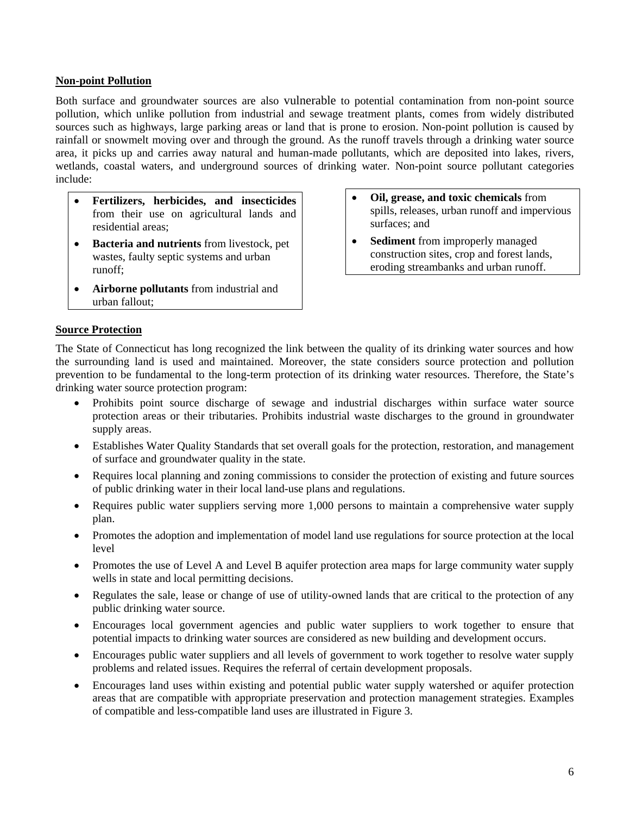#### **Non-point Pollution**

Both surface and groundwater sources are also vulnerable to potential contamination from non-point source pollution, which unlike pollution from industrial and sewage treatment plants, comes from widely distributed sources such as highways, large parking areas or land that is prone to erosion. Non-point pollution is caused by rainfall or snowmelt moving over and through the ground. As the runoff travels through a drinking water source area, it picks up and carries away natural and human-made pollutants, which are deposited into lakes, rivers, wetlands, coastal waters, and underground sources of drinking water. Non-point source pollutant categories include:

- **Fertilizers, herbicides, and insecticides** from their use on agricultural lands and residential areas;
- **Bacteria and nutrients** from livestock, pet wastes, faulty septic systems and urban runoff;
- **Airborne pollutants** from industrial and urban fallout;
- **Oil, grease, and toxic chemicals** from spills, releases, urban runoff and impervious surfaces; and
- **Sediment** from improperly managed construction sites, crop and forest lands, eroding streambanks and urban runoff.

#### **Source Protection**

The State of Connecticut has long recognized the link between the quality of its drinking water sources and how the surrounding land is used and maintained. Moreover, the state considers source protection and pollution prevention to be fundamental to the long-term protection of its drinking water resources. Therefore, the State's drinking water source protection program:

- Prohibits point source discharge of sewage and industrial discharges within surface water source protection areas or their tributaries. Prohibits industrial waste discharges to the ground in groundwater supply areas.
- Establishes Water Quality Standards that set overall goals for the protection, restoration, and management of surface and groundwater quality in the state.
- Requires local planning and zoning commissions to consider the protection of existing and future sources of public drinking water in their local land-use plans and regulations.
- Requires public water suppliers serving more 1,000 persons to maintain a comprehensive water supply plan.
- Promotes the adoption and implementation of model land use regulations for source protection at the local level
- Promotes the use of Level A and Level B aquifer protection area maps for large community water supply wells in state and local permitting decisions.
- Regulates the sale, lease or change of use of utility-owned lands that are critical to the protection of any public drinking water source.
- Encourages local government agencies and public water suppliers to work together to ensure that potential impacts to drinking water sources are considered as new building and development occurs.
- Encourages public water suppliers and all levels of government to work together to resolve water supply problems and related issues. Requires the referral of certain development proposals.
- Encourages land uses within existing and potential public water supply watershed or aquifer protection areas that are compatible with appropriate preservation and protection management strategies. Examples of compatible and less-compatible land uses are illustrated in Figure 3.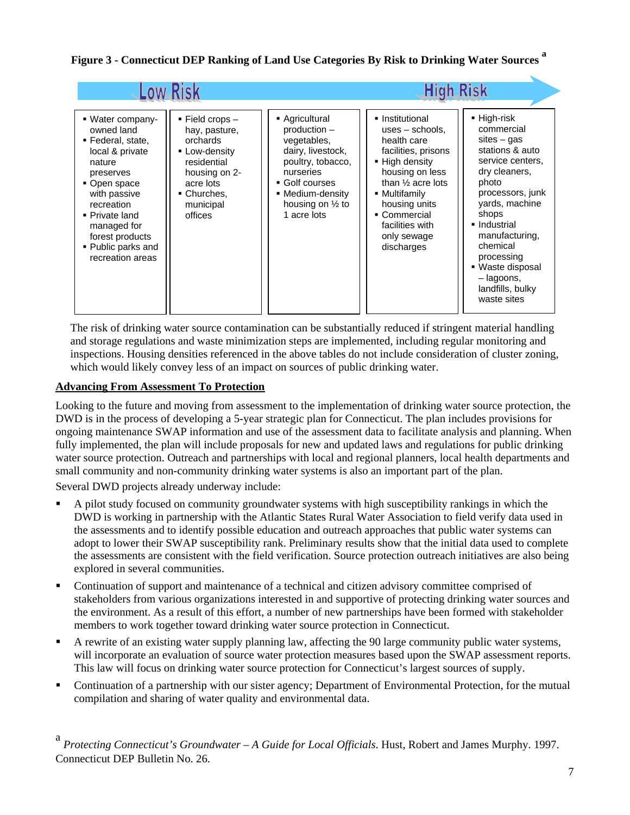## **Figure 3 - Connecticut DEP Ranking of Land Use Categories By Risk to Drinking Water Sources <sup>a</sup>**

|                                                                                                                                                                                                                                           |                                                                                                                                                 |                                                                                                                                                                                      | <b>High Risk</b>                                                                                                                                                                                                                                   |                                                                                                                                                                                                                                                                                             |
|-------------------------------------------------------------------------------------------------------------------------------------------------------------------------------------------------------------------------------------------|-------------------------------------------------------------------------------------------------------------------------------------------------|--------------------------------------------------------------------------------------------------------------------------------------------------------------------------------------|----------------------------------------------------------------------------------------------------------------------------------------------------------------------------------------------------------------------------------------------------|---------------------------------------------------------------------------------------------------------------------------------------------------------------------------------------------------------------------------------------------------------------------------------------------|
| • Water company-<br>owned land<br>■ Federal, state,<br>local & private<br>nature<br>preserves<br>• Open space<br>with passive<br>recreation<br>• Private land<br>managed for<br>forest products<br>• Public parks and<br>recreation areas | ■ Field crops -<br>hay, pasture,<br>orchards<br>Low-density<br>residential<br>housing on 2-<br>acre lots<br>■ Churches,<br>municipal<br>offices | Agricultural<br>production -<br>vegetables,<br>dairy, livestock,<br>poultry, tobacco,<br>nurseries<br>Golf courses<br>• Medium-density<br>housing on $\frac{1}{2}$ to<br>1 acre lots | • Institutional<br>$uses - schools$ ,<br>health care<br>facilities, prisons<br>• High density<br>housing on less<br>than $\frac{1}{2}$ acre lots<br>• Multifamily<br>housing units<br>• Commercial<br>facilities with<br>only sewage<br>discharges | ■ High-risk<br>commercial<br>$sites - gas$<br>stations & auto<br>service centers,<br>dry cleaners,<br>photo<br>processors, junk<br>vards, machine<br>shops<br>• Industrial<br>manufacturing,<br>chemical<br>processing<br>■ Waste disposal<br>- lagoons,<br>landfills, bulky<br>waste sites |

The risk of drinking water source contamination can be substantially reduced if stringent material handling and storage regulations and waste minimization steps are implemented, including regular monitoring and inspections. Housing densities referenced in the above tables do not include consideration of cluster zoning, which would likely convey less of an impact on sources of public drinking water.

#### **Advancing From Assessment To Protection**

Looking to the future and moving from assessment to the implementation of drinking water source protection, the DWD is in the process of developing a 5-year strategic plan for Connecticut. The plan includes provisions for ongoing maintenance SWAP information and use of the assessment data to facilitate analysis and planning. When fully implemented, the plan will include proposals for new and updated laws and regulations for public drinking water source protection. Outreach and partnerships with local and regional planners, local health departments and small community and non-community drinking water systems is also an important part of the plan.

Several DWD projects already underway include:

- A pilot study focused on community groundwater systems with high susceptibility rankings in which the DWD is working in partnership with the Atlantic States Rural Water Association to field verify data used in the assessments and to identify possible education and outreach approaches that public water systems can adopt to lower their SWAP susceptibility rank. Preliminary results show that the initial data used to complete the assessments are consistent with the field verification. Source protection outreach initiatives are also being explored in several communities.
- Continuation of support and maintenance of a technical and citizen advisory committee comprised of stakeholders from various organizations interested in and supportive of protecting drinking water sources and the environment. As a result of this effort, a number of new partnerships have been formed with stakeholder members to work together toward drinking water source protection in Connecticut.
- A rewrite of an existing water supply planning law, affecting the 90 large community public water systems, will incorporate an evaluation of source water protection measures based upon the SWAP assessment reports. This law will focus on drinking water source protection for Connecticut's largest sources of supply.
- Continuation of a partnership with our sister agency; Department of Environmental Protection, for the mutual compilation and sharing of water quality and environmental data.

a *Protecting Connecticut's Groundwater – A Guide for Local Officials*. Hust, Robert and James Murphy. 1997. Connecticut DEP Bulletin No. 26.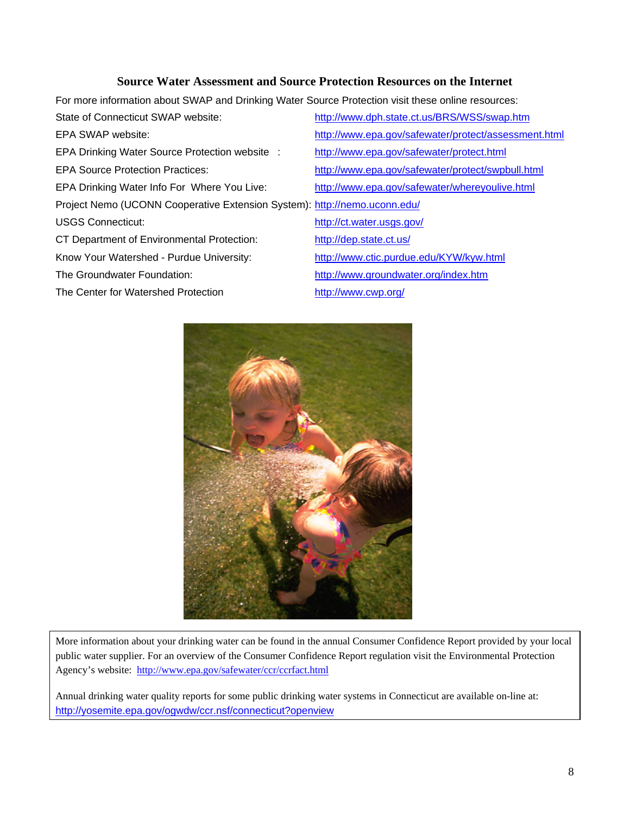#### **Source Water Assessment and Source Protection Resources on the Internet**

For more information about SWAP and Drinking Water Source Protection visit these online resources:

| State of Connecticut SWAP website:                                        | http://www.dph.state.ct.us/BRS/WSS/swap.htm          |
|---------------------------------------------------------------------------|------------------------------------------------------|
| EPA SWAP website:                                                         | http://www.epa.gov/safewater/protect/assessment.html |
| EPA Drinking Water Source Protection website :                            | http://www.epa.gov/safewater/protect.html            |
| <b>EPA Source Protection Practices:</b>                                   | http://www.epa.gov/safewater/protect/swpbull.html    |
| EPA Drinking Water Info For Where You Live:                               | http://www.epa.gov/safewater/whereyoulive.html       |
| Project Nemo (UCONN Cooperative Extension System): http://nemo.uconn.edu/ |                                                      |
| <b>USGS Connecticut:</b>                                                  | http://ct.water.usgs.gov/                            |
| CT Department of Environmental Protection:                                | http://dep.state.ct.us/                              |
| Know Your Watershed - Purdue University:                                  | http://www.ctic.purdue.edu/KYW/kyw.html              |
| The Groundwater Foundation:                                               | http://www.groundwater.org/index.htm                 |
| The Center for Watershed Protection                                       | http://www.cwp.org/                                  |



More information about your drinking water can be found in the annual Consumer Confidence Report provided by your local public water supplier. For an overview of the Consumer Confidence Report regulation visit the Environmental Protection Agency's website: <http://www.epa.gov/safewater/ccr/ccrfact.html>

Annual drinking water quality reports for some public drinking water systems in Connecticut are available on-line at: [http://yosemite.epa.gov/ogwdw/ccr.nsf/connecticut?openview](http://yosemite.epa.gov/ogwdw/ccr.nsf/Connecticut?OpenView)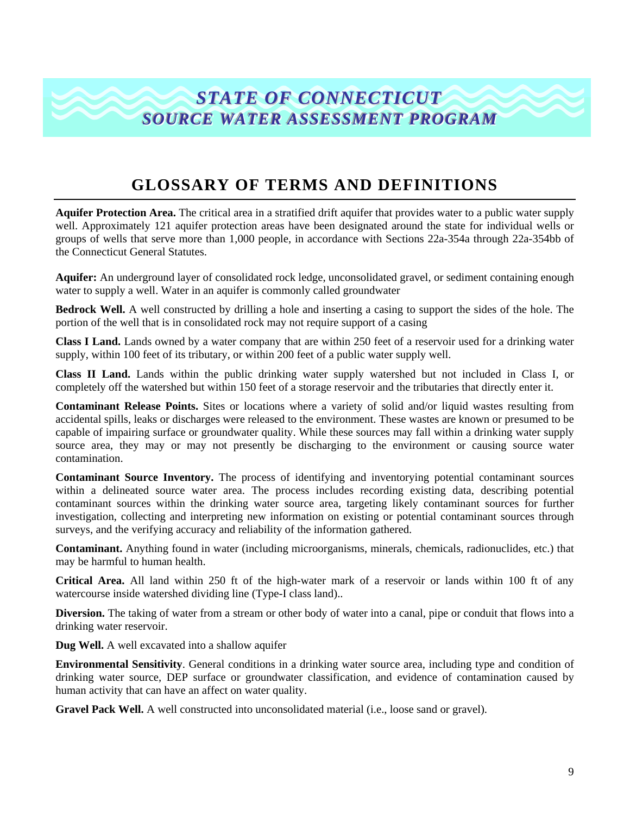# *STATE OF CONNECTICUT* **SOURCE WATER ASSESSMENT PROGRAM**

# **GLOSSARY OF TERMS AND DEFINITIONS**

**Aquifer Protection Area.** The critical area in a stratified drift aquifer that provides water to a public water supply well. Approximately 121 aquifer protection areas have been designated around the state for individual wells or groups of wells that serve more than 1,000 people, in accordance with Sections 22a-354a through 22a-354bb of the Connecticut General Statutes.

**Aquifer:** An underground layer of consolidated rock ledge, unconsolidated gravel, or sediment containing enough water to supply a well. Water in an aquifer is commonly called groundwater

**Bedrock Well.** A well constructed by drilling a hole and inserting a casing to support the sides of the hole. The portion of the well that is in consolidated rock may not require support of a casing

**Class I Land.** Lands owned by a water company that are within 250 feet of a reservoir used for a drinking water supply, within 100 feet of its tributary, or within 200 feet of a public water supply well.

**Class II Land.** Lands within the public drinking water supply watershed but not included in Class I, or completely off the watershed but within 150 feet of a storage reservoir and the tributaries that directly enter it.

**Contaminant Release Points.** Sites or locations where a variety of solid and/or liquid wastes resulting from accidental spills, leaks or discharges were released to the environment. These wastes are known or presumed to be capable of impairing surface or groundwater quality. While these sources may fall within a drinking water supply source area, they may or may not presently be discharging to the environment or causing source water contamination.

**Contaminant Source Inventory.** The process of identifying and inventorying potential contaminant sources within a delineated source water area. The process includes recording existing data, describing potential contaminant sources within the drinking water source area, targeting likely contaminant sources for further investigation, collecting and interpreting new information on existing or potential contaminant sources through surveys, and the verifying accuracy and reliability of the information gathered.

**Contaminant.** Anything found in water (including microorganisms, minerals, chemicals, radionuclides, etc.) that may be harmful to human health.

**Critical Area.** All land within 250 ft of the high-water mark of a reservoir or lands within 100 ft of any watercourse inside watershed dividing line (Type-I class land)..

**Diversion.** The taking of water from a stream or other body of water into a canal, pipe or conduit that flows into a drinking water reservoir.

**Dug Well.** A well excavated into a shallow aquifer

**Environmental Sensitivity**. General conditions in a drinking water source area, including type and condition of drinking water source, DEP surface or groundwater classification, and evidence of contamination caused by human activity that can have an affect on water quality.

**Gravel Pack Well.** A well constructed into unconsolidated material (i.e., loose sand or gravel).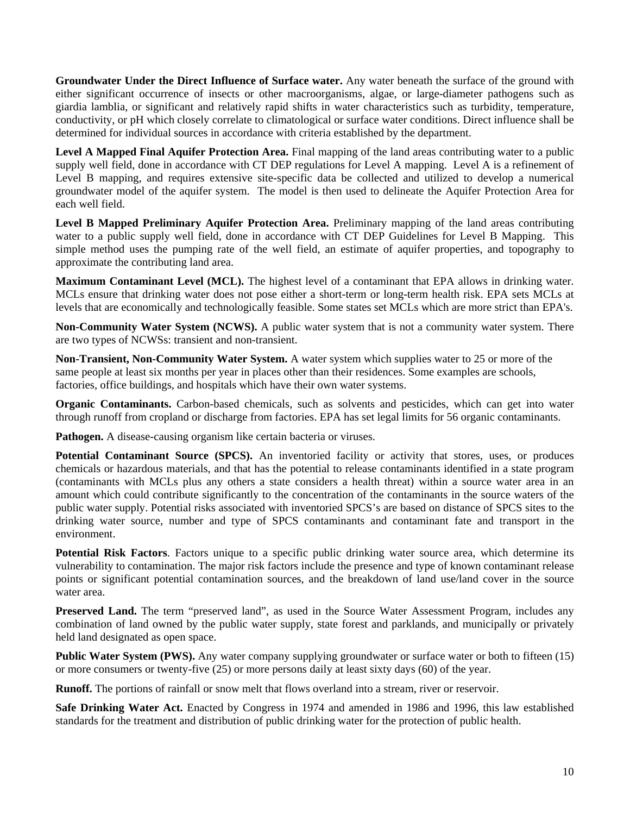**Groundwater Under the Direct Influence of Surface water.** Any water beneath the surface of the ground with either significant occurrence of insects or other macroorganisms, algae, or large-diameter pathogens such as giardia lamblia, or significant and relatively rapid shifts in water characteristics such as turbidity, temperature, conductivity, or pH which closely correlate to climatological or surface water conditions. Direct influence shall be determined for individual sources in accordance with criteria established by the department.

**Level A Mapped Final Aquifer Protection Area.** Final mapping of the land areas contributing water to a public supply well field, done in accordance with CT DEP regulations for Level A mapping. Level A is a refinement of Level B mapping, and requires extensive site-specific data be collected and utilized to develop a numerical groundwater model of the aquifer system. The model is then used to delineate the Aquifer Protection Area for each well field.

**Level B Mapped Preliminary Aquifer Protection Area.** Preliminary mapping of the land areas contributing water to a public supply well field, done in accordance with CT DEP Guidelines for Level B Mapping. This simple method uses the pumping rate of the well field, an estimate of aquifer properties, and topography to approximate the contributing land area.

**Maximum Contaminant Level (MCL).** The highest level of a contaminant that EPA allows in drinking water. MCLs ensure that drinking water does not pose either a short-term or long-term health risk. EPA sets MCLs at levels that are economically and technologically feasible. Some states set MCLs which are more strict than EPA's.

**Non-Community Water System (NCWS).** A public water system that is not a community water system. There are two types of NCWSs: transient and non-transient.

**Non-Transient, Non-Community Water System.** A water system which supplies water to 25 or more of the same people at least six months per year in places other than their residences. Some examples are schools, factories, office buildings, and hospitals which have their own water systems.

**Organic Contaminants.** Carbon-based chemicals, such as solvents and pesticides, which can get into water through runoff from cropland or discharge from factories. EPA has set legal limits for 56 organic contaminants.

**Pathogen.** A disease-causing organism like certain bacteria or viruses.

**Potential Contaminant Source (SPCS).** An inventoried facility or activity that stores, uses, or produces chemicals or hazardous materials, and that has the potential to release contaminants identified in a state program (contaminants with MCLs plus any others a state considers a health threat) within a source water area in an amount which could contribute significantly to the concentration of the contaminants in the source waters of the public water supply. Potential risks associated with inventoried SPCS's are based on distance of SPCS sites to the drinking water source, number and type of SPCS contaminants and contaminant fate and transport in the environment.

**Potential Risk Factors**. Factors unique to a specific public drinking water source area, which determine its vulnerability to contamination. The major risk factors include the presence and type of known contaminant release points or significant potential contamination sources, and the breakdown of land use/land cover in the source water area.

**Preserved Land.** The term "preserved land", as used in the Source Water Assessment Program, includes any combination of land owned by the public water supply, state forest and parklands, and municipally or privately held land designated as open space.

**Public Water System (PWS).** Any water company supplying groundwater or surface water or both to fifteen (15) or more consumers or twenty-five (25) or more persons daily at least sixty days (60) of the year.

**Runoff.** The portions of rainfall or snow melt that flows overland into a stream, river or reservoir.

**Safe Drinking Water Act.** Enacted by Congress in 1974 and amended in 1986 and 1996, this law established standards for the treatment and distribution of public drinking water for the protection of public health.